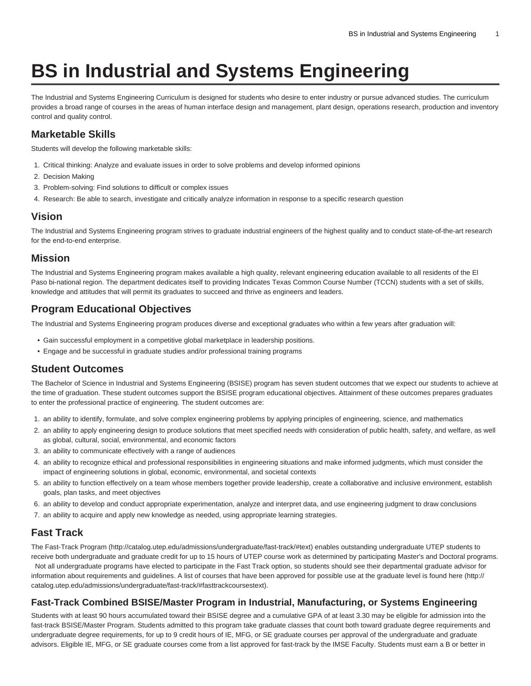# **BS in Industrial and Systems Engineering**

The Industrial and Systems Engineering Curriculum is designed for students who desire to enter industry or pursue advanced studies. The curriculum provides a broad range of courses in the areas of human interface design and management, plant design, operations research, production and inventory control and quality control.

# **Marketable Skills**

Students will develop the following marketable skills:

- 1. Critical thinking: Analyze and evaluate issues in order to solve problems and develop informed opinions
- 2. Decision Making
- 3. Problem-solving: Find solutions to difficult or complex issues
- 4. Research: Be able to search, investigate and critically analyze information in response to a specific research question

#### **Vision**

The Industrial and Systems Engineering program strives to graduate industrial engineers of the highest quality and to conduct state-of-the-art research for the end-to-end enterprise.

#### **Mission**

The Industrial and Systems Engineering program makes available a high quality, relevant engineering education available to all residents of the El Paso bi-national region. The department dedicates itself to providing Indicates Texas Common Course Number (TCCN) students with a set of skills, knowledge and attitudes that will permit its graduates to succeed and thrive as engineers and leaders.

# **Program Educational Objectives**

The Industrial and Systems Engineering program produces diverse and exceptional graduates who within a few years after graduation will:

- Gain successful employment in a competitive global marketplace in leadership positions.
- Engage and be successful in graduate studies and/or professional training programs

#### **Student Outcomes**

The Bachelor of Science in Industrial and Systems Engineering (BSISE) program has seven student outcomes that we expect our students to achieve at the time of graduation. These student outcomes support the BSISE program educational objectives. Attainment of these outcomes prepares graduates to enter the professional practice of engineering. The student outcomes are:

- 1. an ability to identify, formulate, and solve complex engineering problems by applying principles of engineering, science, and mathematics
- 2. an ability to apply engineering design to produce solutions that meet specified needs with consideration of public health, safety, and welfare, as well as global, cultural, social, environmental, and economic factors
- 3. an ability to communicate effectively with a range of audiences
- 4. an ability to recognize ethical and professional responsibilities in engineering situations and make informed judgments, which must consider the impact of engineering solutions in global, economic, environmental, and societal contexts
- 5. an ability to function effectively on a team whose members together provide leadership, create a collaborative and inclusive environment, establish goals, plan tasks, and meet objectives
- 6. an ability to develop and conduct appropriate experimentation, analyze and interpret data, and use engineering judgment to draw conclusions
- 7. an ability to acquire and apply new knowledge as needed, using appropriate learning strategies.

# **Fast Track**

The [Fast-Track Program](http://catalog.utep.edu/admissions/undergraduate/fast-track/#text) [\(http://catalog.utep.edu/admissions/undergraduate/fast-track/#text](http://catalog.utep.edu/admissions/undergraduate/fast-track/#text)) enables outstanding undergraduate UTEP students to receive both undergraduate and graduate credit for up to 15 hours of UTEP course work as determined by participating Master's and Doctoral programs. Not all undergraduate programs have elected to participate in the Fast Track option, so students should see their departmental graduate advisor for

information about requirements and guidelines. A list of courses that have been approved for possible use at the graduate level is found [here \(http://](http://catalog.utep.edu/admissions/undergraduate/fast-track/#fasttrackcoursestext) [catalog.utep.edu/admissions/undergraduate/fast-track/#fasttrackcoursestext\)](http://catalog.utep.edu/admissions/undergraduate/fast-track/#fasttrackcoursestext).

### **Fast-Track Combined BSISE/Master Program in Industrial, Manufacturing, or Systems Engineering**

Students with at least 90 hours accumulated toward their BSISE degree and a cumulative GPA of at least 3.30 may be eligible for admission into the fast-track BSISE/Master Program. Students admitted to this program take graduate classes that count both toward graduate degree requirements and undergraduate degree requirements, for up to 9 credit hours of IE, MFG, or SE graduate courses per approval of the undergraduate and graduate advisors. Eligible IE, MFG, or SE graduate courses come from a list approved for fast-track by the IMSE Faculty. Students must earn a B or better in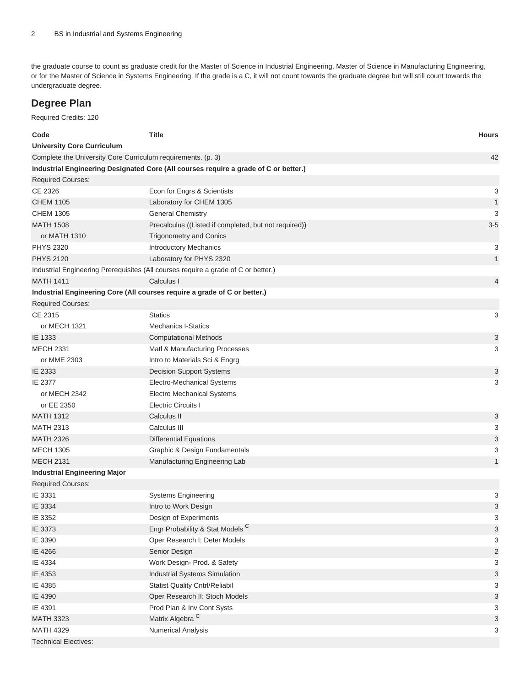the graduate course to count as graduate credit for the Master of Science in Industrial Engineering, Master of Science in Manufacturing Engineering, or for the Master of Science in Systems Engineering. If the grade is a C, it will not count towards the graduate degree but will still count towards the undergraduate degree.

# **Degree Plan**

Required Credits: 120

| Code                                                         | <b>Title</b>                                                                         | <b>Hours</b>              |
|--------------------------------------------------------------|--------------------------------------------------------------------------------------|---------------------------|
| <b>University Core Curriculum</b>                            |                                                                                      |                           |
| Complete the University Core Curriculum requirements. (p. 3) |                                                                                      | 42                        |
|                                                              | Industrial Engineering Designated Core (All courses require a grade of C or better.) |                           |
| <b>Required Courses:</b>                                     |                                                                                      |                           |
| CE 2326                                                      | Econ for Engrs & Scientists                                                          | 3                         |
| <b>CHEM 1105</b>                                             | Laboratory for CHEM 1305                                                             | $\mathbf{1}$              |
| <b>CHEM 1305</b>                                             | <b>General Chemistry</b>                                                             | 3                         |
| <b>MATH 1508</b>                                             | Precalculus ((Listed if completed, but not required))                                | $3-5$                     |
| or MATH 1310                                                 | <b>Trigonometry and Conics</b>                                                       |                           |
| <b>PHYS 2320</b>                                             | <b>Introductory Mechanics</b>                                                        | 3                         |
| <b>PHYS 2120</b>                                             | Laboratory for PHYS 2320                                                             | $\mathbf{1}$              |
|                                                              | Industrial Engineering Prerequisites (All courses require a grade of C or better.)   |                           |
| <b>MATH 1411</b>                                             | Calculus I                                                                           | 4                         |
|                                                              | Industrial Engineering Core (All courses require a grade of C or better.)            |                           |
| <b>Required Courses:</b>                                     |                                                                                      |                           |
| CE 2315                                                      | <b>Statics</b>                                                                       | 3                         |
| or MECH 1321                                                 | <b>Mechanics I-Statics</b>                                                           |                           |
| IE 1333                                                      | <b>Computational Methods</b>                                                         | 3                         |
| <b>MECH 2331</b>                                             | Matl & Manufacturing Processes                                                       | 3                         |
| or MME 2303                                                  | Intro to Materials Sci & Engrg                                                       |                           |
| IE 2333                                                      | <b>Decision Support Systems</b>                                                      | 3                         |
| IE 2377                                                      | Electro-Mechanical Systems                                                           | 3                         |
| or MECH 2342                                                 | <b>Electro Mechanical Systems</b>                                                    |                           |
| or EE 2350                                                   | <b>Electric Circuits I</b>                                                           |                           |
| <b>MATH 1312</b>                                             | Calculus II                                                                          | 3                         |
| <b>MATH 2313</b>                                             | Calculus III                                                                         | 3                         |
| <b>MATH 2326</b>                                             | <b>Differential Equations</b>                                                        | 3                         |
| <b>MECH 1305</b>                                             | Graphic & Design Fundamentals                                                        | 3                         |
| <b>MECH 2131</b>                                             | Manufacturing Engineering Lab                                                        | $\mathbf{1}$              |
| <b>Industrial Engineering Major</b>                          |                                                                                      |                           |
| <b>Required Courses:</b>                                     |                                                                                      |                           |
| IE 3331                                                      | <b>Systems Engineering</b>                                                           | 3                         |
| IE 3334                                                      | Intro to Work Design                                                                 | 3                         |
| IE 3352                                                      | Design of Experiments                                                                | 3                         |
| IE 3373                                                      | Engr Probability & Stat Models <sup>C</sup>                                          | 3                         |
| IE 3390                                                      | Oper Research I: Deter Models                                                        | 3                         |
| IE 4266                                                      | Senior Design                                                                        | $\overline{c}$            |
| IE 4334                                                      | Work Design- Prod. & Safety                                                          | 3                         |
| IE 4353                                                      | Industrial Systems Simulation                                                        | $\mathfrak{S}$            |
| IE 4385                                                      | <b>Statist Quality Cntrl/Reliabil</b>                                                | 3                         |
| IE 4390                                                      | Oper Research II: Stoch Models                                                       | $\ensuremath{\mathsf{3}}$ |
| IE 4391                                                      | Prod Plan & Inv Cont Systs                                                           | 3                         |
| <b>MATH 3323</b>                                             | Matrix Algebra <sup>C</sup>                                                          | $\mathfrak{S}$            |
| <b>MATH 4329</b>                                             | <b>Numerical Analysis</b>                                                            | 3                         |
| <b>Technical Electives:</b>                                  |                                                                                      |                           |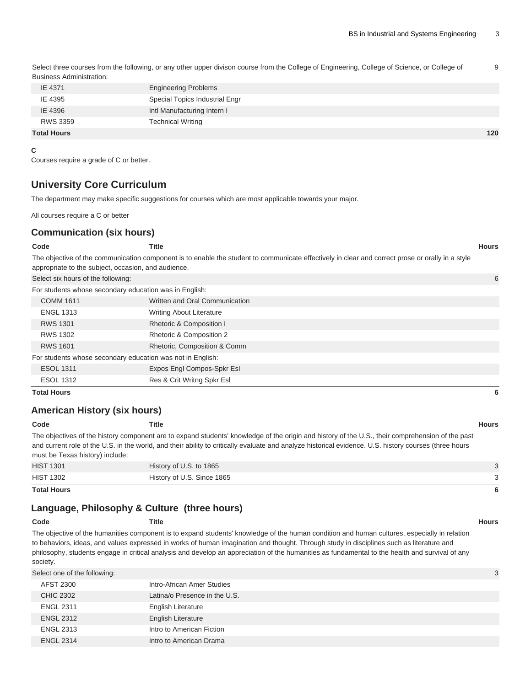Select three courses from the following, or any other upper divison course from the College of Engineering, College of Science, or College of Business Administration: 9

| IE 4371            | <b>Engineering Problems</b>    |     |
|--------------------|--------------------------------|-----|
| IE 4395            | Special Topics Industrial Engr |     |
| IE 4396            | Intl Manufacturing Intern I    |     |
| <b>RWS 3359</b>    | <b>Technical Writing</b>       |     |
| <b>Total Hours</b> |                                | 120 |

**C**

<span id="page-2-0"></span>Courses require a grade of C or better.

### **University Core Curriculum**

The department may make specific suggestions for courses which are most applicable towards your major.

All courses require a C or better

#### **Communication (six hours)**

| Code                                                | Title                                                                                                                                            | <b>Hours</b> |
|-----------------------------------------------------|--------------------------------------------------------------------------------------------------------------------------------------------------|--------------|
|                                                     | The objective of the communication component is to enable the student to communicate effectively in clear and correct prose or orally in a style |              |
| appropriate to the subject, occasion, and audience. |                                                                                                                                                  |              |
| Select six hours of the following:                  |                                                                                                                                                  |              |

| For students whose secondary education was in English: |                                                            |                                 |  |
|--------------------------------------------------------|------------------------------------------------------------|---------------------------------|--|
|                                                        | <b>COMM 1611</b>                                           | Written and Oral Communication  |  |
|                                                        | <b>ENGL 1313</b>                                           | <b>Writing About Literature</b> |  |
|                                                        | <b>RWS 1301</b>                                            | Rhetoric & Composition I        |  |
|                                                        | <b>RWS 1302</b>                                            | Rhetoric & Composition 2        |  |
|                                                        | <b>RWS 1601</b>                                            | Rhetoric, Composition & Comm    |  |
|                                                        | For students whose secondary education was not in English: |                                 |  |
|                                                        | <b>ESOL 1311</b>                                           | Expos Engl Compos-Spkr Esl      |  |
|                                                        | <b>ESOL 1312</b>                                           | Res & Crit Writng Spkr Esl      |  |

**Total Hours 6**

#### **American History (six hours)**

**Code Title Hours**

The objectives of the history component are to expand students' knowledge of the origin and history of the U.S., their comprehension of the past and current role of the U.S. in the world, and their ability to critically evaluate and analyze historical evidence. U.S. history courses (three hours must be Texas history) include:

| <b>HIST 1302</b> | History of U.S. Since 1865 |  |
|------------------|----------------------------|--|
| <b>HIST 1301</b> | History of U.S. to 1865    |  |
|                  |                            |  |

**Total Hours 6**

#### **Language, Philosophy & Culture (three hours)**

| Code     | Title                                                                                                                                           | <b>Hours</b> |
|----------|-------------------------------------------------------------------------------------------------------------------------------------------------|--------------|
|          | The objective of the humanities component is to expand students' knowledge of the human condition and human cultures, especially in relation    |              |
|          | to behaviors, ideas, and values expressed in works of human imagination and thought. Through study in disciplines such as literature and        |              |
|          | philosophy, students engage in critical analysis and develop an appreciation of the humanities as fundamental to the health and survival of any |              |
| society. |                                                                                                                                                 |              |

| Select one of the following: |                               |  |
|------------------------------|-------------------------------|--|
| AFST 2300                    | Intro-African Amer Studies    |  |
| <b>CHIC 2302</b>             | Latina/o Presence in the U.S. |  |
| <b>ENGL 2311</b>             | <b>English Literature</b>     |  |
| <b>ENGL 2312</b>             | <b>English Literature</b>     |  |
| <b>ENGL 2313</b>             | Intro to American Fiction     |  |
| <b>ENGL 2314</b>             | Intro to American Drama       |  |
|                              |                               |  |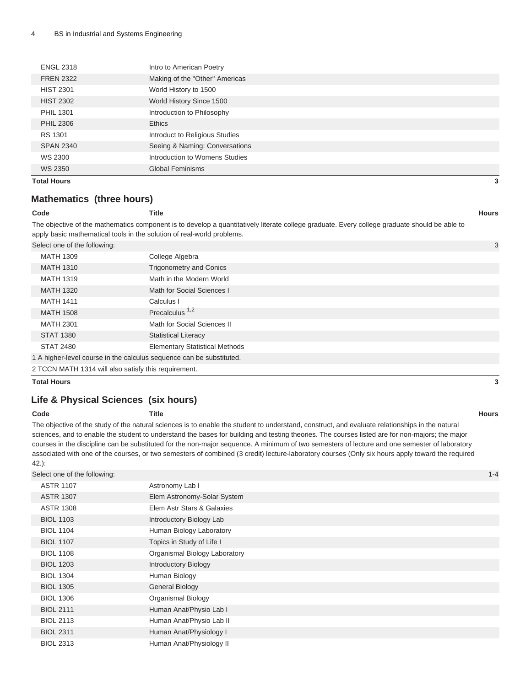| <b>Total Hours</b> |                                | 3 |
|--------------------|--------------------------------|---|
| WS 2350            | <b>Global Feminisms</b>        |   |
| WS 2300            | Introduction to Womens Studies |   |
| <b>SPAN 2340</b>   | Seeing & Naming: Conversations |   |
| RS 1301            | Introduct to Religious Studies |   |
| <b>PHIL 2306</b>   | <b>Ethics</b>                  |   |
| <b>PHIL 1301</b>   | Introduction to Philosophy     |   |
| <b>HIST 2302</b>   | World History Since 1500       |   |
| <b>HIST 2301</b>   | World History to 1500          |   |
| <b>FREN 2322</b>   | Making of the "Other" Americas |   |
| <b>ENGL 2318</b>   | Intro to American Poetry       |   |
|                    |                                |   |

### **Mathematics (three hours)**

#### **Code Title Hours**

The objective of the mathematics component is to develop a quantitatively literate college graduate. Every college graduate should be able to apply basic mathematical tools in the solution of real-world problems.

Select one of the following: 3

| <b>MATH 1309</b>                                                     | College Algebra                       |
|----------------------------------------------------------------------|---------------------------------------|
| <b>MATH 1310</b>                                                     | <b>Trigonometry and Conics</b>        |
| <b>MATH 1319</b>                                                     | Math in the Modern World              |
| <b>MATH 1320</b>                                                     | Math for Social Sciences I            |
| <b>MATH 1411</b>                                                     | Calculus I                            |
| <b>MATH 1508</b>                                                     | Precalculus <sup>1,2</sup>            |
| <b>MATH 2301</b>                                                     | Math for Social Sciences II           |
| <b>STAT 1380</b>                                                     | <b>Statistical Literacy</b>           |
| <b>STAT 2480</b>                                                     | <b>Elementary Statistical Methods</b> |
| 1 A higher-level course in the calculus sequence can be substituted. |                                       |

2 TCCN MATH 1314 will also satisfy this requirement.

**Total Hours 3**

### **Life & Physical Sciences (six hours)**

#### **Code Title Hours**

The objective of the study of the natural sciences is to enable the student to understand, construct, and evaluate relationships in the natural sciences, and to enable the student to understand the bases for building and testing theories. The courses listed are for non-majors; the major courses in the discipline can be substituted for the non-major sequence. A minimum of two semesters of lecture and one semester of laboratory associated with one of the courses, or two semesters of combined (3 credit) lecture-laboratory courses (Only six hours apply toward the required

| I | × |
|---|---|
|   |   |

| Select one of the following: |                               | $1 - 4$ |
|------------------------------|-------------------------------|---------|
| <b>ASTR 1107</b>             | Astronomy Lab I               |         |
| <b>ASTR 1307</b>             | Elem Astronomy-Solar System   |         |
| <b>ASTR 1308</b>             | Elem Astr Stars & Galaxies    |         |
| <b>BIOL 1103</b>             | Introductory Biology Lab      |         |
| <b>BIOL 1104</b>             | Human Biology Laboratory      |         |
| <b>BIOL 1107</b>             | Topics in Study of Life I     |         |
| <b>BIOL 1108</b>             | Organismal Biology Laboratory |         |
| <b>BIOL 1203</b>             | <b>Introductory Biology</b>   |         |
| <b>BIOL 1304</b>             | Human Biology                 |         |
| <b>BIOL 1305</b>             | <b>General Biology</b>        |         |
| <b>BIOL 1306</b>             | <b>Organismal Biology</b>     |         |
| <b>BIOL 2111</b>             | Human Anat/Physio Lab I       |         |
| <b>BIOL 2113</b>             | Human Anat/Physio Lab II      |         |
| <b>BIOL 2311</b>             | Human Anat/Physiology I       |         |
| <b>BIOL 2313</b>             | Human Anat/Physiology II      |         |
|                              |                               |         |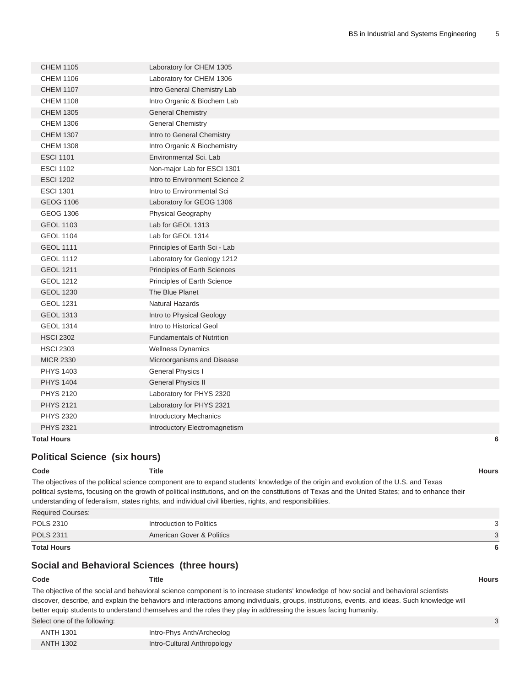| <b>CHEM 1105</b>   | Laboratory for CHEM 1305         |   |
|--------------------|----------------------------------|---|
| <b>CHEM 1106</b>   | Laboratory for CHEM 1306         |   |
| <b>CHEM 1107</b>   | Intro General Chemistry Lab      |   |
| <b>CHEM 1108</b>   | Intro Organic & Biochem Lab      |   |
| <b>CHEM 1305</b>   | <b>General Chemistry</b>         |   |
| <b>CHEM 1306</b>   | <b>General Chemistry</b>         |   |
| <b>CHEM 1307</b>   | Intro to General Chemistry       |   |
| <b>CHEM 1308</b>   | Intro Organic & Biochemistry     |   |
| <b>ESCI 1101</b>   | Environmental Sci. Lab           |   |
| <b>ESCI 1102</b>   | Non-major Lab for ESCI 1301      |   |
| <b>ESCI 1202</b>   | Intro to Environment Science 2   |   |
| <b>ESCI 1301</b>   | Intro to Environmental Sci       |   |
| <b>GEOG 1106</b>   | Laboratory for GEOG 1306         |   |
| <b>GEOG 1306</b>   | Physical Geography               |   |
| <b>GEOL 1103</b>   | Lab for GEOL 1313                |   |
| <b>GEOL 1104</b>   | Lab for GEOL 1314                |   |
| <b>GEOL 1111</b>   | Principles of Earth Sci - Lab    |   |
| <b>GEOL 1112</b>   | Laboratory for Geology 1212      |   |
| <b>GEOL 1211</b>   | Principles of Earth Sciences     |   |
| <b>GEOL 1212</b>   | Principles of Earth Science      |   |
| <b>GEOL 1230</b>   | The Blue Planet                  |   |
| <b>GEOL 1231</b>   | Natural Hazards                  |   |
| <b>GEOL 1313</b>   | Intro to Physical Geology        |   |
| <b>GEOL 1314</b>   | Intro to Historical Geol         |   |
| <b>HSCI 2302</b>   | <b>Fundamentals of Nutrition</b> |   |
| <b>HSCI 2303</b>   | <b>Wellness Dynamics</b>         |   |
| <b>MICR 2330</b>   | Microorganisms and Disease       |   |
| <b>PHYS 1403</b>   | General Physics I                |   |
| <b>PHYS 1404</b>   | <b>General Physics II</b>        |   |
| <b>PHYS 2120</b>   | Laboratory for PHYS 2320         |   |
| <b>PHYS 2121</b>   | Laboratory for PHYS 2321         |   |
| <b>PHYS 2320</b>   | Introductory Mechanics           |   |
| <b>PHYS 2321</b>   | Introductory Electromagnetism    |   |
| <b>Total Hours</b> |                                  | 6 |

#### **Political Science (six hours)**

| Code              | Title                                                                                                                                              | <b>Hours</b> |
|-------------------|----------------------------------------------------------------------------------------------------------------------------------------------------|--------------|
|                   | The objectives of the political science component are to expand students' knowledge of the origin and evolution of the U.S. and Texas              |              |
|                   | political systems, focusing on the growth of political institutions, and on the constitutions of Texas and the United States; and to enhance their |              |
|                   | understanding of federalism, states rights, and individual civil liberties, rights, and responsibilities.                                          |              |
| Required Courses: |                                                                                                                                                    |              |

| <b>Total Hours</b> |                           |        |
|--------------------|---------------------------|--------|
| <b>POLS 2311</b>   | American Gover & Politics | $\sim$ |
| <b>POLS 2310</b>   | Introduction to Politics  |        |
|                    |                           |        |

#### **Social and Behavioral Sciences (three hours)**

#### **Code Title Hours**

The objective of the social and behavioral science component is to increase students' knowledge of how social and behavioral scientists discover, describe, and explain the behaviors and interactions among individuals, groups, institutions, events, and ideas. Such knowledge will better equip students to understand themselves and the roles they play in addressing the issues facing humanity.

Select one of the following: 33

| ANTH 1301        | Intro-Phys Anth/Archeolog   |
|------------------|-----------------------------|
| <b>ANTH 1302</b> | Intro-Cultural Anthropology |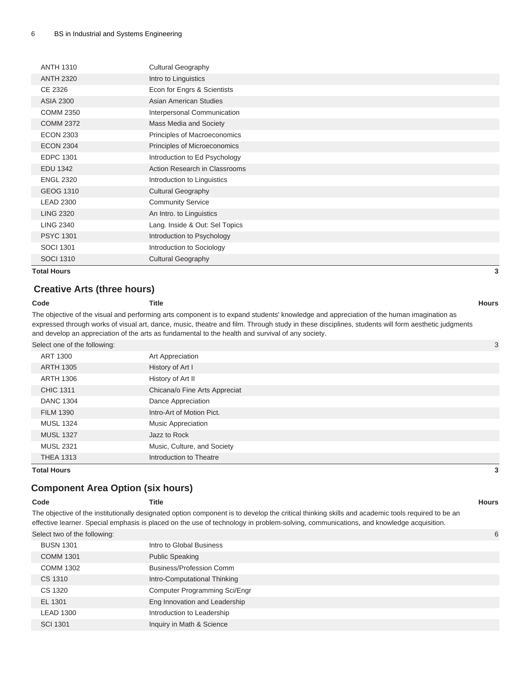| <b>Total Hours</b> |                                | 3 |
|--------------------|--------------------------------|---|
| <b>SOCI 1310</b>   | <b>Cultural Geography</b>      |   |
| <b>SOCI 1301</b>   | Introduction to Sociology      |   |
| <b>PSYC 1301</b>   | Introduction to Psychology     |   |
| <b>LING 2340</b>   | Lang. Inside & Out: Sel Topics |   |
| <b>LING 2320</b>   | An Intro. to Linguistics       |   |
| <b>LEAD 2300</b>   | <b>Community Service</b>       |   |
| <b>GEOG 1310</b>   | <b>Cultural Geography</b>      |   |
| <b>ENGL 2320</b>   | Introduction to Linguistics    |   |
| <b>EDU 1342</b>    | Action Research in Classrooms  |   |
| <b>EDPC 1301</b>   | Introduction to Ed Psychology  |   |
| <b>ECON 2304</b>   | Principles of Microeconomics   |   |
| <b>ECON 2303</b>   | Principles of Macroeconomics   |   |
| <b>COMM 2372</b>   | Mass Media and Society         |   |
| <b>COMM 2350</b>   | Interpersonal Communication    |   |
| <b>ASIA 2300</b>   | <b>Asian American Studies</b>  |   |
| CE 2326            | Econ for Engrs & Scientists    |   |
| <b>ANTH 2320</b>   | Intro to Linguistics           |   |
| <b>ANTH 1310</b>   | <b>Cultural Geography</b>      |   |
|                    |                                |   |

#### **Creative Arts (three hours)**

#### **Code Title Hours**

The objective of the visual and performing arts component is to expand students' knowledge and appreciation of the human imagination as expressed through works of visual art, dance, music, theatre and film. Through study in these disciplines, students will form aesthetic judgments and develop an appreciation of the arts as fundamental to the health and survival of any society.

Select one of the following: 3

|                  |                               | $\tilde{\phantom{a}}$ |
|------------------|-------------------------------|-----------------------|
| ART 1300         | Art Appreciation              |                       |
| <b>ARTH 1305</b> | History of Art I              |                       |
| <b>ARTH 1306</b> | History of Art II             |                       |
| <b>CHIC 1311</b> | Chicana/o Fine Arts Appreciat |                       |
| <b>DANC 1304</b> | Dance Appreciation            |                       |
| <b>FILM 1390</b> | Intro-Art of Motion Pict.     |                       |
| <b>MUSL 1324</b> | <b>Music Appreciation</b>     |                       |
| <b>MUSL 1327</b> | Jazz to Rock                  |                       |
| <b>MUSL 2321</b> | Music, Culture, and Society   |                       |
| <b>THEA 1313</b> | Introduction to Theatre       |                       |

**Total Hours 3**

### **Component Area Option (six hours)**

| Code                         | Title |                                                                                                                                                                                                                                                                                           | <b>Hours</b> |
|------------------------------|-------|-------------------------------------------------------------------------------------------------------------------------------------------------------------------------------------------------------------------------------------------------------------------------------------------|--------------|
|                              |       | The objective of the institutionally designated option component is to develop the critical thinking skills and academic tools required to be an<br>effective learner. Special emphasis is placed on the use of technology in problem-solving, communications, and knowledge acquisition. |              |
| Select two of the following: |       |                                                                                                                                                                                                                                                                                           |              |

| <b>BUSN 1301</b> | Intro to Global Business        |
|------------------|---------------------------------|
| <b>COMM 1301</b> | <b>Public Speaking</b>          |
| <b>COMM 1302</b> | <b>Business/Profession Comm</b> |
| CS 1310          | Intro-Computational Thinking    |
| CS 1320          | Computer Programming Sci/Engr   |
| EL 1301          | Eng Innovation and Leadership   |
| <b>LEAD 1300</b> | Introduction to Leadership      |
| <b>SCI 1301</b>  | Inquiry in Math & Science       |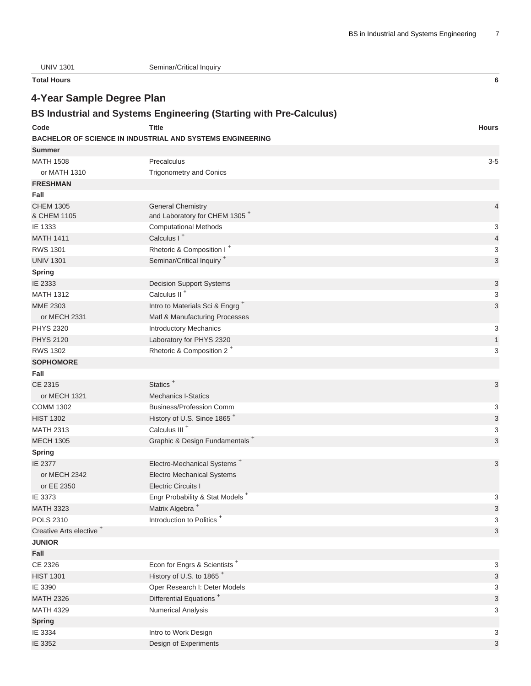| <b>UNIV 1301</b>                    | Seminar/Critical Inquiry                                                  |                |
|-------------------------------------|---------------------------------------------------------------------------|----------------|
| <b>Total Hours</b>                  |                                                                           | 6              |
| 4-Year Sample Degree Plan           |                                                                           |                |
|                                     | <b>BS Industrial and Systems Engineering (Starting with Pre-Calculus)</b> |                |
|                                     |                                                                           |                |
| Code                                | <b>Title</b>                                                              | <b>Hours</b>   |
|                                     | <b>BACHELOR OF SCIENCE IN INDUSTRIAL AND SYSTEMS ENGINEERING</b>          |                |
| <b>Summer</b><br><b>MATH 1508</b>   |                                                                           |                |
|                                     | Precalculus                                                               | $3 - 5$        |
| or MATH 1310<br><b>FRESHMAN</b>     | <b>Trigonometry and Conics</b>                                            |                |
| Fall                                |                                                                           |                |
| <b>CHEM 1305</b>                    | <b>General Chemistry</b>                                                  | $\overline{4}$ |
| & CHEM 1105                         | and Laboratory for CHEM 1305 <sup>+</sup>                                 |                |
| IE 1333                             | <b>Computational Methods</b>                                              | 3              |
| <b>MATH 1411</b>                    | Calculus I <sup>+</sup>                                                   | 4              |
| <b>RWS 1301</b>                     | Rhetoric & Composition I <sup>+</sup>                                     | 3              |
| <b>UNIV 1301</b>                    | Seminar/Critical Inquiry <sup>+</sup>                                     | 3              |
| <b>Spring</b>                       |                                                                           |                |
| IE 2333                             | <b>Decision Support Systems</b>                                           | 3              |
| <b>MATH 1312</b>                    | Calculus II <sup>+</sup>                                                  | 3              |
| <b>MME 2303</b>                     | Intro to Materials Sci & Engrg <sup>+</sup>                               | 3              |
| or MECH 2331                        | Matl & Manufacturing Processes                                            |                |
| <b>PHYS 2320</b>                    | <b>Introductory Mechanics</b>                                             | 3              |
| <b>PHYS 2120</b>                    | Laboratory for PHYS 2320                                                  | $\mathbf{1}$   |
| <b>RWS 1302</b>                     | Rhetoric & Composition 2 <sup>+</sup>                                     | 3              |
| <b>SOPHOMORE</b>                    |                                                                           |                |
| Fall                                |                                                                           |                |
| CE 2315                             | Statics <sup>+</sup>                                                      | 3              |
| or MECH 1321                        | <b>Mechanics I-Statics</b>                                                |                |
| <b>COMM 1302</b>                    | <b>Business/Profession Comm</b>                                           | 3              |
| <b>HIST 1302</b>                    | History of U.S. Since 1865 <sup>+</sup>                                   | 3              |
| <b>MATH 2313</b>                    | Calculus III <sup>+</sup>                                                 | 3              |
| <b>MECH 1305</b>                    | Graphic & Design Fundamentals <sup>+</sup>                                | 3              |
| Spring                              |                                                                           |                |
| IE 2377                             | Electro-Mechanical Systems <sup>+</sup>                                   | 3              |
| or MECH 2342                        | <b>Electro Mechanical Systems</b>                                         |                |
| or EE 2350                          | <b>Electric Circuits I</b>                                                |                |
| IE 3373                             | Engr Probability & Stat Models <sup>+</sup>                               | 3              |
| <b>MATH 3323</b>                    | Matrix Algebra <sup>+</sup>                                               | 3              |
| <b>POLS 2310</b>                    | Introduction to Politics <sup>+</sup>                                     | 3              |
| Creative Arts elective <sup>+</sup> |                                                                           | 3              |
| <b>JUNIOR</b>                       |                                                                           |                |
| Fall                                |                                                                           |                |
| CE 2326                             | Econ for Engrs & Scientists <sup>+</sup>                                  | 3              |
| <b>HIST 1301</b>                    | History of U.S. to 1865 <sup>+</sup>                                      | 3              |
| IE 3390                             | Oper Research I: Deter Models                                             | 3              |
| <b>MATH 2326</b>                    | Differential Equations <sup>+</sup>                                       | 3              |
| <b>MATH 4329</b>                    | <b>Numerical Analysis</b>                                                 | 3              |
| <b>Spring</b>                       |                                                                           |                |
| IE 3334                             | Intro to Work Design                                                      | 3              |
| IE 3352                             | Design of Experiments                                                     | 3              |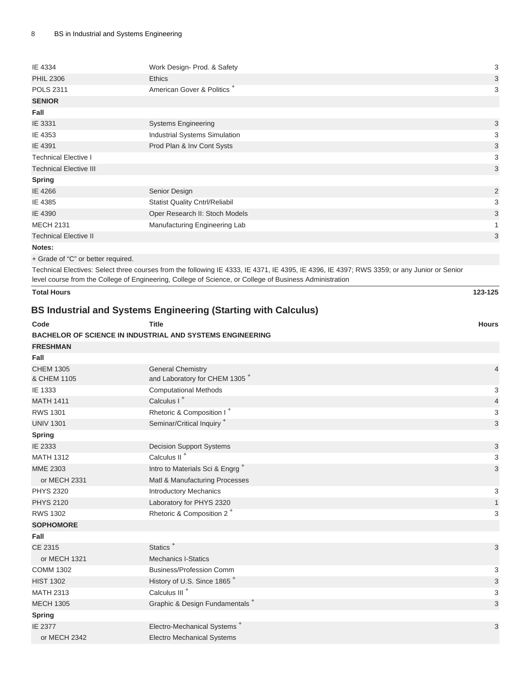| IE 4334                       | Work Design- Prod. & Safety            | 3              |
|-------------------------------|----------------------------------------|----------------|
| <b>PHIL 2306</b>              | <b>Ethics</b>                          | 3              |
| <b>POLS 2311</b>              | American Gover & Politics <sup>+</sup> | 3              |
| <b>SENIOR</b>                 |                                        |                |
| Fall                          |                                        |                |
| IE 3331                       | <b>Systems Engineering</b>             | $\mathfrak{S}$ |
| IE 4353                       | <b>Industrial Systems Simulation</b>   | 3              |
| IE 4391                       | Prod Plan & Inv Cont Systs             | 3              |
| <b>Technical Elective I</b>   |                                        | 3              |
| <b>Technical Elective III</b> |                                        | $\mathbf{3}$   |
| <b>Spring</b>                 |                                        |                |
| IE 4266                       | Senior Design                          | $\overline{c}$ |
| IE 4385                       | <b>Statist Quality Cntrl/Reliabil</b>  | 3              |
| IE 4390                       | Oper Research II: Stoch Models         | 3              |
| <b>MECH 2131</b>              | Manufacturing Engineering Lab          |                |
| <b>Technical Elective II</b>  |                                        | 3              |
| Notes:                        |                                        |                |

+ Grade of "C" or better required.

Technical Electives: Select three courses from the following IE 4333, IE 4371, IE 4395, IE 4396, IE 4397; RWS 3359; or any Junior or Senior level course from the College of Engineering, College of Science, or College of Business Administration

| <b>Total Hours</b>                                                    |                                                                       | 123-125                   |  |  |
|-----------------------------------------------------------------------|-----------------------------------------------------------------------|---------------------------|--|--|
| <b>BS Industrial and Systems Engineering (Starting with Calculus)</b> |                                                                       |                           |  |  |
| Code                                                                  | <b>Title</b>                                                          | <b>Hours</b>              |  |  |
|                                                                       | <b>BACHELOR OF SCIENCE IN INDUSTRIAL AND SYSTEMS ENGINEERING</b>      |                           |  |  |
| <b>FRESHMAN</b>                                                       |                                                                       |                           |  |  |
| Fall                                                                  |                                                                       |                           |  |  |
| <b>CHEM 1305</b><br>& CHEM 1105                                       | <b>General Chemistry</b><br>and Laboratory for CHEM 1305 <sup>+</sup> | $\overline{4}$            |  |  |
| IE 1333                                                               | <b>Computational Methods</b>                                          | 3                         |  |  |
| <b>MATH 1411</b>                                                      | Calculus I <sup>+</sup>                                               | $\overline{4}$            |  |  |
| <b>RWS 1301</b>                                                       | Rhetoric & Composition I <sup>+</sup>                                 | 3                         |  |  |
| <b>UNIV 1301</b>                                                      | Seminar/Critical Inquiry <sup>+</sup>                                 | $\sqrt{3}$                |  |  |
| Spring                                                                |                                                                       |                           |  |  |
| IE 2333                                                               | <b>Decision Support Systems</b>                                       | $\ensuremath{\mathsf{3}}$ |  |  |
| <b>MATH 1312</b>                                                      | Calculus II <sup>+</sup>                                              | 3                         |  |  |
| <b>MME 2303</b>                                                       | Intro to Materials Sci & Engrg <sup>+</sup>                           | $\mathbf{3}$              |  |  |
| or MECH 2331                                                          | Matl & Manufacturing Processes                                        |                           |  |  |
| <b>PHYS 2320</b>                                                      | <b>Introductory Mechanics</b>                                         | 3                         |  |  |
| <b>PHYS 2120</b>                                                      | Laboratory for PHYS 2320                                              | $\mathbf{1}$              |  |  |
| <b>RWS 1302</b>                                                       | Rhetoric & Composition 2 <sup>+</sup>                                 | 3                         |  |  |
| <b>SOPHOMORE</b>                                                      |                                                                       |                           |  |  |
| Fall                                                                  |                                                                       |                           |  |  |
| <b>CE 2315</b>                                                        | Statics <sup>+</sup>                                                  | 3                         |  |  |
| or MECH 1321                                                          | <b>Mechanics I-Statics</b>                                            |                           |  |  |
| <b>COMM 1302</b>                                                      | <b>Business/Profession Comm</b>                                       | 3                         |  |  |
| <b>HIST 1302</b>                                                      | History of U.S. Since 1865 <sup>+</sup>                               | $\ensuremath{\mathsf{3}}$ |  |  |
| <b>MATH 2313</b>                                                      | Calculus III <sup>+</sup>                                             | 3                         |  |  |
| <b>MECH 1305</b>                                                      | Graphic & Design Fundamentals <sup>+</sup>                            | $\sqrt{3}$                |  |  |
| <b>Spring</b>                                                         |                                                                       |                           |  |  |
| IE 2377                                                               | Electro-Mechanical Systems <sup>+</sup>                               | 3                         |  |  |
| or MECH 2342                                                          | <b>Electro Mechanical Systems</b>                                     |                           |  |  |